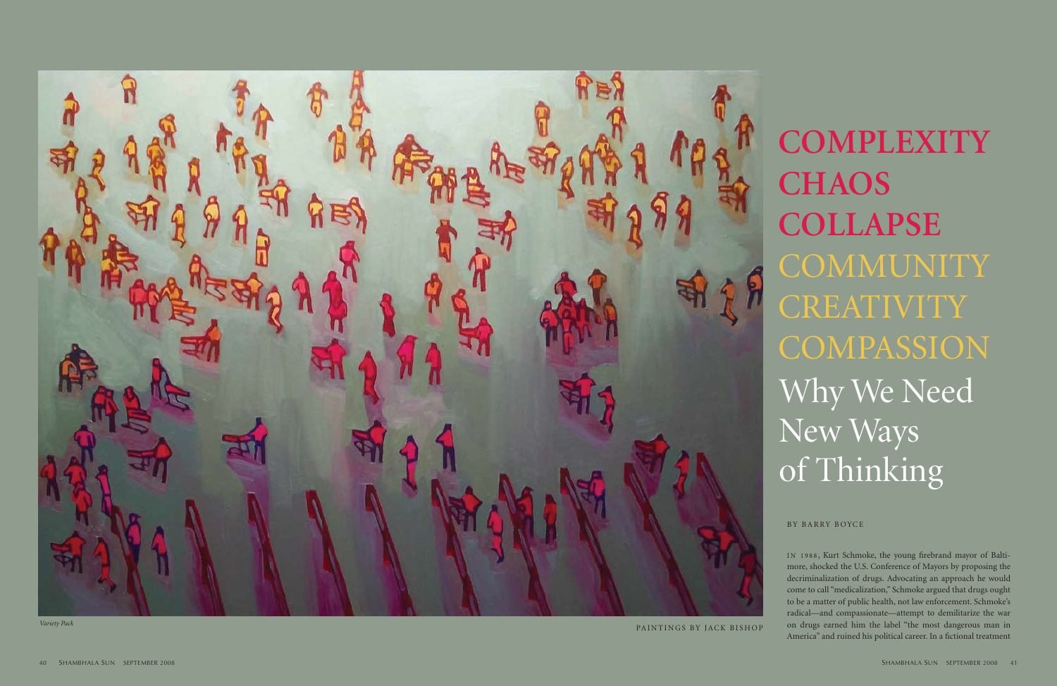## Why We Need New Ways of Thinking **Complexity Chaos Collapse** COMMUNITY<br>CREATIVITY<br>COMPASSION

BY BARRY BOYCE

In 1988 , Kurt Schmoke, the young firebrand mayor of Balti more, shocked the U.S. Conference of Mayors by proposing the decriminalization of drugs. Advocating an approach he would come to call "medicalization," Schmoke argued that drugs ought to be a matter of public health, not law enforcement. Schmoke's radical—and compassionate—attempt to demilitarize the war on drugs earned him the label "the most dangerous man in America" and ruined his political career. In a fictional treatment



*Variety Pack*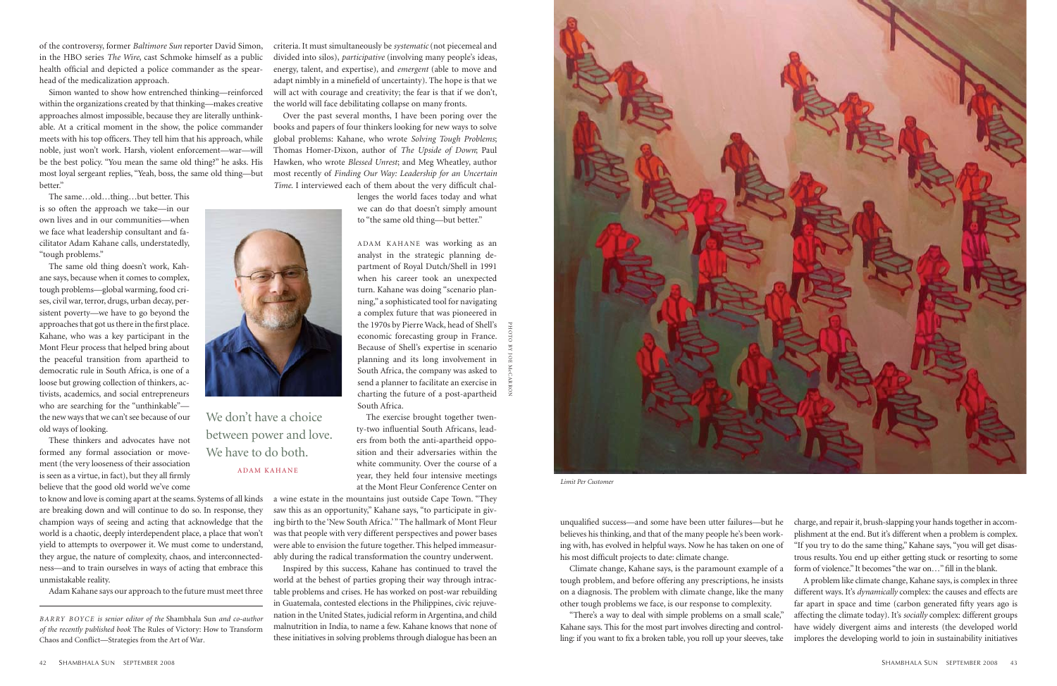

of the controversy, former *Baltimore Sun* reporter David Simon, in the HBO series *The Wire*, cast Schmoke himself as a public health official and depicted a police commander as the spearhead of the medicalization approach.

Simon wanted to show how entrenched thinking—reinforced within the organizations created by that thinking—makes creative approaches almost impossible, because they are literally unthinkable. At a critical moment in the show, the police commander meets with his top officers. They tell him that his approach, while noble, just won't work. Harsh, violent enforcement—war—will be the best policy. "You mean the same old thing?" he asks. His most loyal sergeant replies, "Yeah, boss, the same old thing—but better."

The same…old…thing…but better. This is so often the approach we take—in our own lives and in our communities—when we face what leadership consultant and facilitator Adam Kahane calls, understatedly, "tough problems."

The same old thing doesn't work, Kahane says, because when it comes to complex, tough problems—global warming, food crises, civil war, terror, drugs, urban decay, persistent poverty—we have to go beyond the approaches that got us there in the first place. Kahane, who was a key participant in the Mont Fleur process that helped bring about the peaceful transition from apartheid to democratic rule in South Africa, is one of a loose but growing collection of thinkers, activists, academics, and social entrepreneurs who are searching for the "unthinkable" the new ways that we can't see because of our old ways of looking.

These thinkers and advocates have not formed any formal association or movement (the very looseness of their association is seen as a virtue, in fact), but they all firmly believe that the good old world we've come ADAM KAHANE was working as an analyst in the strategic planning department of Royal Dutch/Shell in 1991 when his career took an unexpected turn. Kahane was doing "scenario planning," a sophisticated tool for navigating a complex future that was pioneered in the 1970s by Pierre Wack, head of Shell's economic forecasting group in France. Because of Shell's expertise in scenario planning and its long involvement in South Africa, the company was asked to send a planner to facilitate an exercise in charting the future of a post-apartheid South Africa.

to know and love is coming apart at the seams. Systems of all kinds are breaking down and will continue to do so. In response, they champion ways of seeing and acting that acknowledge that the world is a chaotic, deeply interdependent place, a place that won't yield to attempts to overpower it. We must come to understand, they argue, the nature of complexity, chaos, and interconnectedness—and to train ourselves in ways of acting that embrace this unmistakable reality.

Adam Kahane says our approach to the future must meet three

criteria. It must simultaneously be *systematic* (not piecemeal and divided into silos), *participative* (involving many people's ideas, energy, talent, and expertise), and *emergent* (able to move and adapt nimbly in a minefield of uncertainty). The hope is that we will act with courage and creativity; the fear is that if we don't, the world will face debilitating collapse on many fronts.

Over the past several months, I have been poring over the books and papers of four thinkers looking for new ways to solve global problems: Kahane, who wrote *Solving Tough Problems*; Thomas Homer-Dixon, author of *The Upside of Down*; Paul Hawken, who wrote *Blessed Unrest*; and Meg Wheatley, author most recently of *Finding Our Way: Leadership for an Uncertain Time*. I interviewed each of them about the very difficult chal-

> lenges the world faces today and what we can do that doesn't simply amount to "the same old thing—but better."

The exercise brought together twenty-two influential South Africans, leaders from both the anti-apartheid opposition and their adversaries within the white community. Over the course of a year, they held four intensive meetings at the Mont Fleur Conference Center on

a wine estate in the mountains just outside Cape Town. "They saw this as an opportunity," Kahane says, "to participate in giving birth to the 'New South Africa.'" The hallmark of Mont Fleur was that people with very different perspectives and power bases were able to envision the future together. This helped immeasurably during the radical transformation the country underwent.

Inspired by this success, Kahane has continued to travel the world at the behest of parties groping their way through intractable problems and crises. He has worked on post-war rebuilding in Guatemala, contested elections in the Philippines, civic rejuvenation in the United States, judicial reform in Argentina, and child malnutrition in India, to name a few. Kahane knows that none of these initiatives in solving problems through dialogue has been an



tough problem, and before offering any prescriptions, he insists

unqualified success—and some have been utter failures—but he believes his thinking, and that of the many people he's been working with, has evolved in helpful ways. Now he has taken on one of his most difficult projects to date: climate change. Climate change, Kahane says, is the paramount example of a charge, and repair it, brush-slapping your hands together in accomplishment at the end. But it's different when a problem is complex. "If you try to do the same thing," Kahane says, "you will get disastrous results. You end up either getting stuck or resorting to some form of violence." It becomes "the war on…" fill in the blank.

on a diagnosis. The problem with climate change, like the many other tough problems we face, is our response to complexity. "There's a way to deal with simple problems on a small scale," Kahane says. This for the most part involves directing and controlling: if you want to fix a broken table, you roll up your sleeves, take A problem like climate change, Kahane says, is complex in three different ways. It's *dynamically* complex: the causes and effects are far apart in space and time (carbon generated fifty years ago is affecting the climate today). It's *socially* complex: different groups have widely divergent aims and interests (the developed world implores the developing world to join in sustainability initiatives



We don't have a choice between power and love. We have to do both. ADAM KAHANE

*Barry B oyce is senior editor of the* Shambhala Sun *and co-author of the recently published book* The Rules of Victory: How to Transform Chaos and Conflict—Strategies from the Art of War*.*

photo by JOE McCarron

*Limit Per Customer*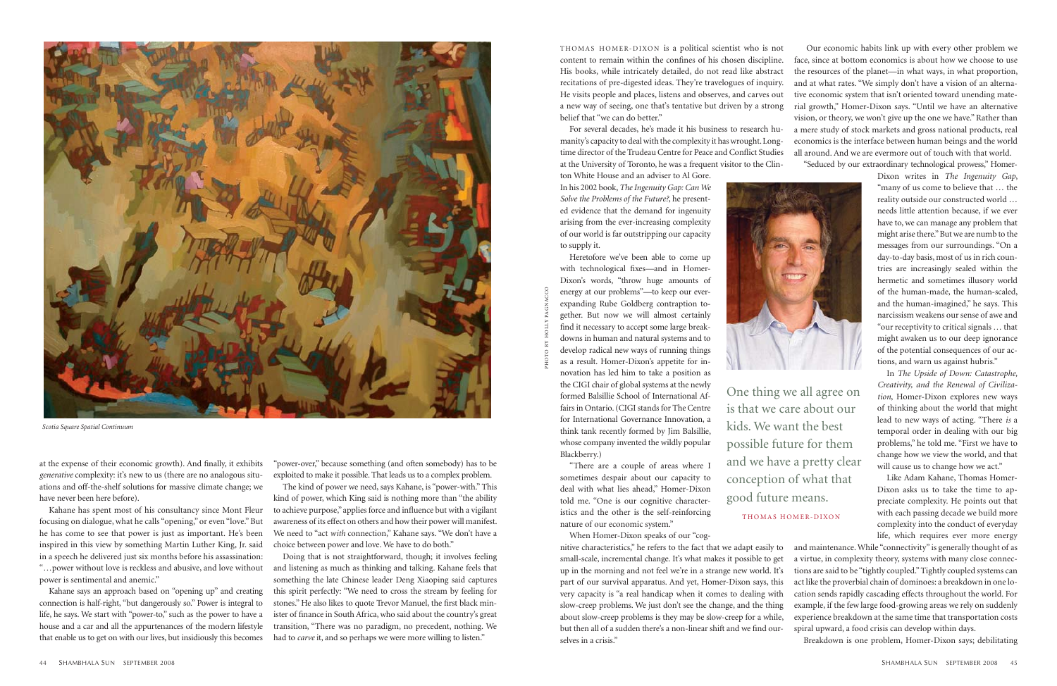at the expense of their economic growth). And finally, it exhibits *generative* complexity: it's new to us (there are no analogous situations and off-the-shelf solutions for massive climate change; we have never been here before).

Kahane has spent most of his consultancy since Mont Fleur focusing on dialogue, what he calls "opening," or even "love." But he has come to see that power is just as important. He's been inspired in this view by something Martin Luther King, Jr. said in a speech he delivered just six months before his assassination: "…power without love is reckless and abusive, and love without power is sentimental and anemic."

Kahane says an approach based on "opening up" and creating connection is half-right, "but dangerously so." Power is integral to life, he says. We start with "power-to," such as the power to have a house and a car and all the appurtenances of the modern lifestyle that enable us to get on with our lives, but insidiously this becomes

"power-over," because something (and often somebody) has to be exploited to make it possible. That leads us to a complex problem.

The kind of power we need, says Kahane, is "power-with." This kind of power, which King said is nothing more than "the ability to achieve purpose," applies force and influence but with a vigilant awareness of its effect on others and how their power will manifest. We need to "act *with* connection," Kahane says. "We don't have a choice between power and love. We have to do both."

Doing that is not straightforward, though; it involves feeling and listening as much as thinking and talking. Kahane feels that something the late Chinese leader Deng Xiaoping said captures this spirit perfectly: "We need to cross the stream by feeling for stones." He also likes to quote Trevor Manuel, the first black minister of finance in South Africa, who said about the country's great transition, "There was no paradigm, no precedent, nothing. We had to *carve* it, and so perhaps we were more willing to listen."

THOMAS HOMER-DIXON is a political scientist who is not content to remain within the confines of his chosen discipline. His books, while intricately detailed, do not read like abstract recitations of pre-digested ideas. They're travelogues of inquiry. He visits people and places, listens and observes, and carves out a new way of seeing, one that's tentative but driven by a strong belief that "we can do better." For several decades, he's made it his business to research humanity's capacity to deal with the complexity it has wrought. Longtime director of the Trudeau Centre for Peace and Conflict Studies Our economic habits link up with every other problem we face, since at bottom economics is about how we choose to use the resources of the planet—in what ways, in what proportion, and at what rates. "We simply don't have a vision of an alternative economic system that isn't oriented toward unending material growth," Homer-Dixon says. "Until we have an alternative vision, or theory, we won't give up the one we have." Rather than a mere study of stock markets and gross national products, real economics is the interface between human beings and the world all around. And we are evermore out of touch with that world.

at the University of Toronto, he was a frequent visitor to the Clin-

ton White House and an adviser to Al Gore. In his 2002 book, *The Ingenuity Gap: Can We Solve the Problems of the Future?*, he presented evidence that the demand for ingenuity arising from the ever-increasing complexity of our world is far outstripping our capacity to supply it.

> In *The Upside of Down: Catastrophe, Creativity, and the Renewal of Civilization*, Homer-Dixon explores new ways of thinking about the world that might lead to new ways of acting. "There *is* a temporal order in dealing with our big problems," he told me. "First we have to change how we view the world, and that will cause us to change how we act."

Heretofore we've been able to come up with technological fixes—and in Homer-Dixon's words, "throw huge amounts of energy at our problems"—to keep our everexpanding Rube Goldberg contraption together. But now we will almost certainly find it necessary to accept some large breakdowns in human and natural systems and to develop radical new ways of running things as a result. Homer-Dixon's appetite for innovation has led him to take a position as the CIGI chair of global systems at the newly formed Balsillie School of International Affairs in Ontario. (CIGI stands for The Centre for International Governance Innovation, a think tank recently formed by Jim Balsillie, whose company invented the wildly popular Blackberry.)

One thing we all agree on is that we care about our kids. We want the best possible future for them and we have a pretty clear conception of what that good future means. THOMAS HOMER-DIXON

"There are a couple of areas where I sometimes despair about our capacity to deal with what lies ahead," Homer-Dixon told me. "One is our cognitive characteristics and the other is the self-reinforcing nature of our economic system."

When Homer-Dixon speaks of our "cog-

"Seduced by our extraordinary technological prowess," Homer-

nitive characteristics," he refers to the fact that we adapt easily to small-scale, incremental change. It's what makes it possible to get up in the morning and not feel we're in a strange new world. It's part of our survival apparatus. And yet, Homer-Dixon says, this very capacity is "a real handicap when it comes to dealing with slow-creep problems. We just don't see the change, and the thing about slow-creep problems is they may be slow-creep for a while, but then all of a sudden there's a non-linear shift and we find ourselves in a crisis." and maintenance. While "connectivity" is generally thought of as a virtue, in complexity theory, systems with many close connections are said to be "tightly coupled." Tightly coupled systems can act like the proverbial chain of dominoes: a breakdown in one location sends rapidly cascading effects throughout the world. For example, if the few large food-growing areas we rely on suddenly experience breakdown at the same time that transportation costs spiral upward, a food crisis can develop within days. Breakdown is one problem, Homer-Dixon says; debilitating



Dixon writes in *The Ingenuity Gap*, "many of us come to believe that … the reality outside our constructed world … needs little attention because, if we ever have to, we can manage any problem that might arise there." But we are numb to the messages from our surroundings. "On a day-to-day basis, most of us in rich countries are increasingly sealed within the hermetic and sometimes illusory world of the human-made, the human-scaled, and the human-imagined," he says. This narcissism weakens our sense of awe and "our receptivity to critical signals … that might awaken us to our deep ignorance of the potential consequences of our actions, and warn us against hubris."

Like Adam Kahane, Thomas Homer-Dixon asks us to take the time to appreciate complexity. He points out that with each passing decade we build more complexity into the conduct of everyday life, which requires ever more energy

photo by holly pagnacco



*Scotia Square Spatial Continuum*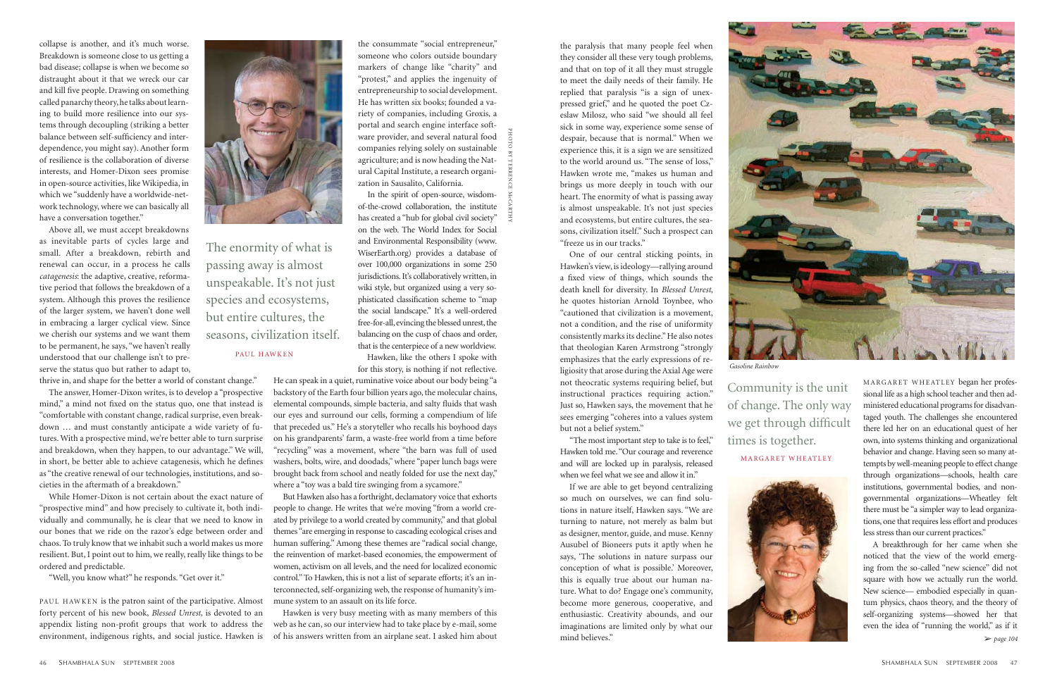collapse is another, and it's much worse. Breakdown is someone close to us getting a bad disease; collapse is when we become so distraught about it that we wreck our car and kill five people. Drawing on something called panarchy theory, he talks about learning to build more resilience into our systems through decoupling (striking a better balance between self-sufficiency and interdependence, you might say). Another form of resilience is the collaboration of diverse interests, and Homer-Dixon sees promise in open-source activities, like Wikipedia, in which we "suddenly have a worldwide-network technology, where we can basically all have a conversation together."

Above all, we must accept breakdowns as inevitable parts of cycles large and small. After a breakdown, rebirth and renewal can occur, in a process he calls *catagenesis*: the adaptive, creative, reformative period that follows the breakdown of a system. Although this proves the resilience of the larger system, we haven't done well in embracing a larger cyclical view. Since we cherish our systems and we want them to be permanent, he says, "we haven't really understood that our challenge isn't to preserve the status quo but rather to adapt to,

PAUL HAWKEN is the patron saint of the participative. Almost forty percent of his new book, *Blessed Unrest*, is devoted to an appendix listing non-profit groups that work to address the environment, indigenous rights, and social justice. Hawken is



thrive in, and shape for the better a world of constant change."

The answer, Homer-Dixon writes, is to develop a "prospective mind," a mind not fixed on the status quo, one that instead is "comfortable with constant change, radical surprise, even breakdown … and must constantly anticipate a wide variety of futures. With a prospective mind, we're better able to turn surprise and breakdown, when they happen, to our advantage." We will, in short, be better able to achieve catagenesis, which he defines as "the creative renewal of our technologies, institutions, and societies in the aftermath of a breakdown."

He can speak in a quiet, ruminative voice about our body being "a backstory of the Earth four billion years ago, the molecular chains, elemental compounds, simple bacteria, and salty fluids that wash our eyes and surround our cells, forming a compendium of life that preceded us." He's a storyteller who recalls his boyhood days on his grandparents' farm, a waste-free world from a time before "recycling" was a movement, where "the barn was full of used washers, bolts, wire, and doodads," where "paper lunch bags were brought back from school and neatly folded for use the next day," where a "toy was a bald tire swinging from a sycamore."

While Homer-Dixon is not certain about the exact nature of "prospective mind" and how precisely to cultivate it, both individually and communally, he is clear that we need to know in our bones that we ride on the razor's edge between order and chaos. To truly know that we inhabit such a world makes us more resilient. But, I point out to him, we really, really like things to be ordered and predictable.

"Well, you know what?" he responds. "Get over it."

the consummate "social entrepreneur," someone who colors outside boundary markers of change like "charity" and "protest," and applies the ingenuity of entrepreneurship to social development. He has written six books; founded a variety of companies, including Groxis, a portal and search engine interface software provider, and several natural food companies relying solely on sustainable agriculture; and is now heading the Natural Capital Institute, a research organization in Sausalito, California.

In the spirit of open-source, wisdomof-the-crowd collaboration, the institute has created a "hub for global civil society" on the web. The World Index for Social and Environmental Responsibility (www. WiserEarth.org) provides a database of over 100,000 organizations in some 250 jurisdictions. It's collaboratively written, in wiki style, but organized using a very sophisticated classification scheme to "map the social landscape." It's a well-ordered free-for-all, evincing the blessed unrest, the balancing on the cusp of chaos and order, that is the centerpiece of a new worldview. Hawken, like the others I spoke with

for this story, is nothing if not reflective.

MARGARET WHEATLEY began her professional life as a high school teacher and then administered educational programs for disadvantaged youth. The challenges she encountered there led her on an educational quest of her own, into systems thinking and organizational behavior and change. Having seen so many attempts by well-meaning people to effect change through organizations—schools, health care institutions, governmental bodies, and nongovernmental organizations—Wheatley felt there must be "a simpler way to lead organizations, one that requires less effort and produces less stress than our current practices."

A breakthrough for her came when she noticed that the view of the world emerging from the so-called "new science" did not square with how we actually run the world. New science— embodied especially in quantum physics, chaos theory, and the theory of self-organizing systems—showed her that even the idea of "running the world," as if it  $\blacktriangleright$  page 104

The enormity of what is passing away is almost unspeakable. It's not just species and ecosystems, but entire cultures, the seasons, civilization itself. PAUL HAWKEN

> Community is the unit of change. The only way we get through difficult times is together. MARGARET WHEATLEY



But Hawken also has a forthright, declamatory voice that exhorts people to change. He writes that we're moving "from a world created by privilege to a world created by community," and that global themes "are emerging in response to cascading ecological crises and human suffering." Among these themes are "radical social change, the reinvention of market-based economies, the empowerment of women, activism on all levels, and the need for localized economic control." To Hawken, this is not a list of separate efforts; it's an interconnected, self-organizing web, the response of humanity's immune system to an assault on its life force.

Hawken is very busy meeting with as many members of this web as he can, so our interview had to take place by e-mail, some of his answers written from an airplane seat. I asked him about

the paralysis that many people feel when they consider all these very tough problems, and that on top of it all they must struggle to meet the daily needs of their family. He replied that paralysis "is a sign of unexpressed grief," and he quoted the poet Czeslaw Milosz, who said "we should all feel sick in some way, experience some sense of despair, because that is normal." When we experience this, it is a sign we are sensitized to the world around us. "The sense of loss," Hawken wrote me, "makes us human and brings us more deeply in touch with our heart. The enormity of what is passing away is almost unspeakable. It's not just species and ecosystems, but entire cultures, the seasons, civilization itself." Such a prospect can "freeze us in our tracks."

One of our central sticking points, in Hawken's view, is ideology—rallying around a fixed view of things, which sounds the death knell for diversity. In *Blessed Unrest*, he quotes historian Arnold Toynbee, who "cautioned that civilization is a movement, not a condition, and the rise of uniformity consistently marks its decline." He also notes that theologian Karen Armstrong "strongly emphasizes that the early expressions of religiosity that arose during the Axial Age were not theocratic systems requiring belief, but instructional practices requiring action." Just so, Hawken says, the movement that he sees emerging "coheres into a values system but not a belief system."

"The most important step to take is to feel," Hawken told me. "Our courage and reverence and will are locked up in paralysis, released when we feel what we see and allow it in."

If we are able to get beyond centralizing so much on ourselves, we can find solutions in nature itself, Hawken says. "We are turning to nature, not merely as balm but as designer, mentor, guide, and muse. Kenny Ausubel of Bioneers puts it aptly when he says, 'The solutions in nature surpass our conception of what is possible.' Moreover, this is equally true about our human nature. What to do? Engage one's community, become more generous, cooperative, and enthusiastic. Creativity abounds, and our imaginations are limited only by what our mind believes."

photo by terrence McCarthy



*Gasoline Rainbow*